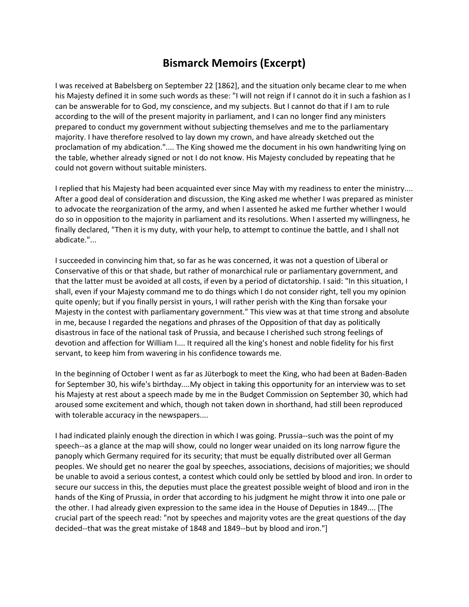## **Bismarck Memoirs (Excerpt)**

I was received at Babelsberg on September 22 [1862], and the situation only became clear to me when his Majesty defined it in some such words as these: "I will not reign if I cannot do it in such a fashion as I can be answerable for to God, my conscience, and my subjects. But I cannot do that if I am to rule according to the will of the present majority in parliament, and I can no longer find any ministers prepared to conduct my government without subjecting themselves and me to the parliamentary majority. I have therefore resolved to lay down my crown, and have already sketched out the proclamation of my abdication.".... The King showed me the document in his own handwriting lying on the table, whether already signed or not I do not know. His Majesty concluded by repeating that he could not govern without suitable ministers.

I replied that his Majesty had been acquainted ever since May with my readiness to enter the ministry.... After a good deal of consideration and discussion, the King asked me whether I was prepared as minister to advocate the reorganization of the army, and when I assented he asked me further whether I would do so in opposition to the majority in parliament and its resolutions. When I asserted my willingness, he finally declared, "Then it is my duty, with your help, to attempt to continue the battle, and I shall not abdicate."...

I succeeded in convincing him that, so far as he was concerned, it was not a question of Liberal or Conservative of this or that shade, but rather of monarchical rule or parliamentary government, and that the latter must be avoided at all costs, if even by a period of dictatorship. I said: "In this situation, I shall, even if your Majesty command me to do things which I do not consider right, tell you my opinion quite openly; but if you finally persist in yours, I will rather perish with the King than forsake your Majesty in the contest with parliamentary government." This view was at that time strong and absolute in me, because I regarded the negations and phrases of the Opposition of that day as politically disastrous in face of the national task of Prussia, and because I cherished such strong feelings of devotion and affection for William I.... It required all the king's honest and noble fidelity for his first servant, to keep him from wavering in his confidence towards me.

In the beginning of October I went as far as Jüterbogk to meet the King, who had been at Baden-Baden for September 30, his wife's birthday....My object in taking this opportunity for an interview was to set his Majesty at rest about a speech made by me in the Budget Commission on September 30, which had aroused some excitement and which, though not taken down in shorthand, had still been reproduced with tolerable accuracy in the newspapers....

I had indicated plainly enough the direction in which I was going. Prussia--such was the point of my speech--as a glance at the map will show, could no longer wear unaided on its long narrow figure the panoply which Germany required for its security; that must be equally distributed over all German peoples. We should get no nearer the goal by speeches, associations, decisions of majorities; we should be unable to avoid a serious contest, a contest which could only be settled by blood and iron. In order to secure our success in this, the deputies must place the greatest possible weight of blood and iron in the hands of the King of Prussia, in order that according to his judgment he might throw it into one pale or the other. I had already given expression to the same idea in the House of Deputies in 1849.... [The crucial part of the speech read: "not by speeches and majority votes are the great questions of the day decided--that was the great mistake of 1848 and 1849--but by blood and iron."]